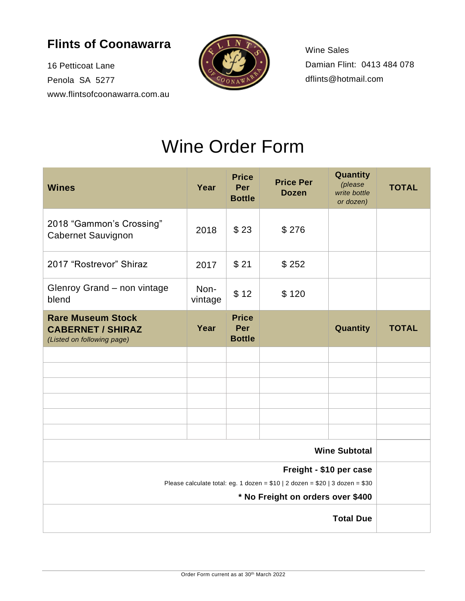## **Flints of Coonawarra**

16 Petticoat Lane Penola SA 5277 www.flintsofcoonawarra.com.au



Wine Sales Damian Flint: 0413 484 078 dflints@hotmail.com

## Wine Order Form

| <b>Wines</b>                                                                                                         | Year            | <b>Price</b><br>Per<br><b>Bottle</b> | <b>Price Per</b><br><b>Dozen</b> | Quantity<br>(please<br>write bottle<br>or dozen) | <b>TOTAL</b> |
|----------------------------------------------------------------------------------------------------------------------|-----------------|--------------------------------------|----------------------------------|--------------------------------------------------|--------------|
| 2018 "Gammon's Crossing"<br><b>Cabernet Sauvignon</b>                                                                | 2018            | \$23                                 | \$276                            |                                                  |              |
| 2017 "Rostrevor" Shiraz                                                                                              | 2017            | \$21                                 | \$252                            |                                                  |              |
| Glenroy Grand - non vintage<br>blend                                                                                 | Non-<br>vintage | \$12                                 | \$120                            |                                                  |              |
| <b>Rare Museum Stock</b><br><b>CABERNET / SHIRAZ</b><br>(Listed on following page)                                   | Year            | <b>Price</b><br>Per<br><b>Bottle</b> |                                  | Quantity                                         | <b>TOTAL</b> |
|                                                                                                                      |                 |                                      |                                  |                                                  |              |
|                                                                                                                      |                 |                                      |                                  |                                                  |              |
|                                                                                                                      |                 |                                      |                                  |                                                  |              |
|                                                                                                                      |                 |                                      |                                  |                                                  |              |
|                                                                                                                      |                 |                                      |                                  |                                                  |              |
| <b>Wine Subtotal</b>                                                                                                 |                 |                                      |                                  |                                                  |              |
| Freight - \$10 per case                                                                                              |                 |                                      |                                  |                                                  |              |
| Please calculate total: eg. 1 dozen = $$10   2$ dozen = $$20   3$ dozen = $$30$<br>* No Freight on orders over \$400 |                 |                                      |                                  |                                                  |              |
| <b>Total Due</b>                                                                                                     |                 |                                      |                                  |                                                  |              |